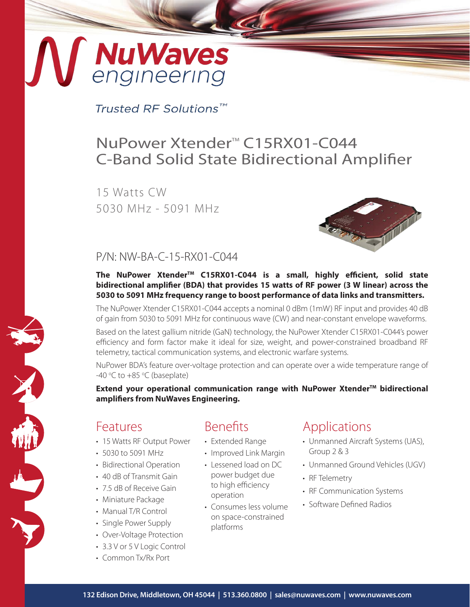# **NuWaves**<br>engineering

Trusted RF Solutions™

## NuPower Xtender<sup>™</sup> C15RX01-C044 C-Band Solid State Bidirectional Amplifier

15 Watts CW 5030 MHz - 5091 MHz



## P/N: NW-BA-C-15-RX01-C044

#### The NuPower Xtender<sup>™</sup> C15RX01-C044 is a small, highly efficient, solid state **bidirectional amplifier (BDA) that provides 15 watts of RF power (3 W linear) across the 5030 to 5091 MHz frequency range to boost performance of data links and transmitters.**

The NuPower Xtender C15RX01-C044 accepts a nominal 0 dBm (1mW) RF input and provides 40 dB of gain from 5030 to 5091 MHz for continuous wave (CW) and near-constant envelope waveforms.

Based on the latest gallium nitride (GaN) technology, the NuPower Xtender C15RX01-C044's power efficiency and form factor make it ideal for size, weight, and power-constrained broadband RF telemetry, tactical communication systems, and electronic warfare systems.

NuPower BDA's feature over-voltage protection and can operate over a wide temperature range of -40 $\degree$ C to +85 $\degree$ C (baseplate)

**Extend your operational communication range with NuPower Xtender™ bidirectional amplifiers from NuWaves Engineering.**

## Features

F.

- 15 Watts RF Output Power
- 5030 to 5091 MHz
- Bidirectional Operation
- 40 dB of Transmit Gain
- 7.5 dB of Receive Gain
- Miniature Package
- Manual T/R Control
- Single Power Supply
- Over-Voltage Protection
- 3.3 V or 5 V Logic Control
- Common Tx/Rx Port

## Benefits

- Extended Range
- Improved Link Margin
- Lessened load on DC power budget due to high efficiency operation
- Consumes less volume on space-constrained platforms

## Applications

- Unmanned Aircraft Systems (UAS), Group 2 & 3
- Unmanned Ground Vehicles (UGV)
- RF Telemetry
- RF Communication Systems
- Software Defined Radios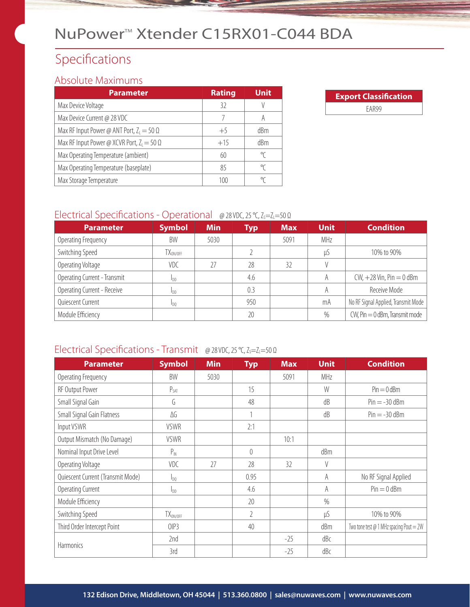## NuPower<sup>™</sup> Xtender C15RX01-C044 BDA

## Specifications

#### Absolute Maximums

| Parameter                                         | <b>Rating</b> | <b>Unit</b>     |
|---------------------------------------------------|---------------|-----------------|
| Max Device Voltage                                | 32            |                 |
| Max Device Current @ 28 VDC                       | 7             | A               |
| Max RF Input Power @ ANT Port, $Z_1 = 50 \Omega$  | $+5$          | dBm             |
| Max RF Input Power @ XCVR Port, $Z_1 = 50 \Omega$ | $+15$         | d <sub>Bm</sub> |
| Max Operating Temperature (ambient)               | 60            | °C              |
| Max Operating Temperature (baseplate)             | 85            | ℃               |
| Max Storage Temperature                           | 100           | °C              |

| <b>Export Classification</b> |  |  |  |  |
|------------------------------|--|--|--|--|
| FAR99                        |  |  |  |  |

#### Electrical Specifications - Operational @ 28 VDC, 25 °C, Z<sub>S</sub>=Z<sub>L</sub>=50 Ω

| <b>Parameter</b>             | <b>Symbol</b>     | <b>Min</b> | <b>Typ</b> | <b>Max</b> | <b>Unit</b> | <b>Condition</b>                    |
|------------------------------|-------------------|------------|------------|------------|-------------|-------------------------------------|
| Operating Frequency          | BW                | 5030       |            | 5091       | MHz         |                                     |
| Switching Speed              | $TX_{\rm ON/OFF}$ |            |            |            | μS          | 10% to 90%                          |
| Operating Voltage            | VDC               | 27         | 28         | 32         |             |                                     |
| Operating Current - Transmit | I <sub>DD</sub>   |            | 4.6        |            | A           | $CW, +28$ Vin, Pin $= 0$ dBm        |
| Operating Current - Receive  | Inn               |            | 0.3        |            | A           | Receive Mode                        |
| Quiescent Current            | Ino.              |            | 950        |            | mA          | No RF Signal Applied, Transmit Mode |
| Module Efficiency            |                   |            | 20         |            | $\%$        | $CW$ , Pin $= 0$ dBm, Transmit mode |

#### Electrical Specifications - Transmit @ 28 VDC, 25 °C, Z<sub>S</sub>=Z<sub>L</sub>=50 Ω

| <b>Parameter</b>                  | <b>Symbol</b>          | <b>Min</b> | <b>Typ</b>     | <b>Max</b> | <b>Unit</b> | <b>Condition</b>                                    |
|-----------------------------------|------------------------|------------|----------------|------------|-------------|-----------------------------------------------------|
| Operating Frequency               | BW                     | 5030       |                | 5091       | MHz         |                                                     |
| RF Output Power                   | $P_{SAT}$              |            | 15             |            | W           | $Pin = 0$ dBm                                       |
| Small Signal Gain                 | G                      |            | 48             |            | dB          | $Pin = -30$ dBm                                     |
| Small Signal Gain Flatness        | ΔG                     |            |                |            | dB          | $Pin = -30$ dBm                                     |
| Input VSWR                        | <b>VSWR</b>            |            | 2:1            |            |             |                                                     |
| Output Mismatch (No Damage)       | <b>VSWR</b>            |            |                | 10:1       |             |                                                     |
| Nominal Input Drive Level         | $P_{IN}$               |            | $\Omega$       |            | dBm         |                                                     |
| Operating Voltage                 | <b>VDC</b>             | 27         | 28             | 32         | V           |                                                     |
| Quiescent Current (Transmit Mode) | $I_{D0}$               |            | 0.95           |            | A           | No RF Signal Applied                                |
| Operating Current                 | <b>I</b> <sub>DD</sub> |            | 4.6            |            | A           | $Pin = 0$ dBm                                       |
| Module Efficiency                 |                        |            | 20             |            | $\%$        |                                                     |
| Switching Speed                   | $TX_{ON/OFF}$          |            | $\overline{2}$ |            | $\mu S$     | 10% to 90%                                          |
| Third Order Intercept Point       | OIP3                   |            | 40             |            | dBm         | Two tone test $\varnothing$ 1 MHz spacing Pout = 2W |
|                                   | 2nd                    |            |                | $-25$      | dBc         |                                                     |
| <b>Harmonics</b>                  | 3rd                    |            |                | $-25$      | dBc         |                                                     |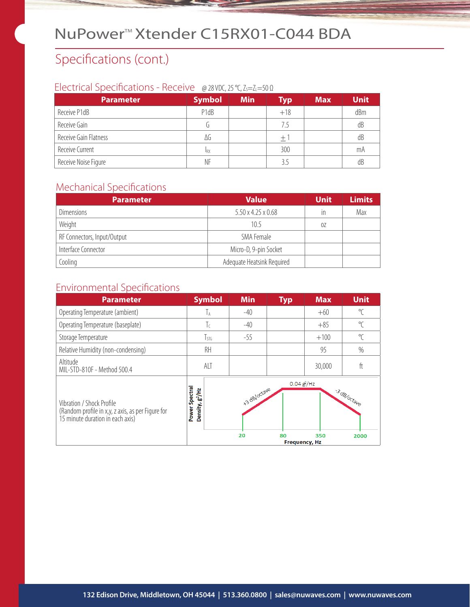## NuPower<sup>™</sup>Xtender C15RX01-C044 BDA

## Specifications (cont.)

#### Electrical Specifications - Receive @ 28 VDC, 25 °C, Z<sub>S</sub>=Z<sub>L</sub>=50 Ω

| <b>Parameter</b>      | <b>Symbol</b>                 | <b>Min</b> | <b>Typ</b> | <b>Max</b> | <b>Unit</b> |
|-----------------------|-------------------------------|------------|------------|------------|-------------|
| Receive P1dB          | P <sub>1</sub> d <sub>B</sub> |            | $+18$      |            | dBm         |
| Receive Gain          |                               |            | 7.5        |            | dB          |
| Receive Gain Flatness | ΔG                            |            | $\pm$ 1    |            | dB          |
| Receive Current       | <b>IRX</b>                    |            | 300        |            | mA          |
| Receive Noise Figure  | ΝF                            |            | 3.5        |            | dB          |

#### Mechanical Specifications

| <b>Parameter</b>            | <b>Value</b>                   | <b>Unit</b> | <b>Limits</b> |
|-----------------------------|--------------------------------|-------------|---------------|
| <b>Dimensions</b>           | $5.50 \times 4.25 \times 0.68$ | in          | Max           |
| Weight                      | 10.5                           | 0Z          |               |
| RF Connectors, Input/Output | SMA Female                     |             |               |
| Interface Connector         | Micro-D, 9-pin Socket          |             |               |
| Cooling                     | Adequate Heatsink Required     |             |               |

## Environmental Specifications

| <b>Parameter</b>                                                                                                   | <b>Symbol</b>                                    | <b>Min</b>         | <b>Typ</b>           | <b>Max</b> | <b>Unit</b>         |
|--------------------------------------------------------------------------------------------------------------------|--------------------------------------------------|--------------------|----------------------|------------|---------------------|
| Operating Temperature (ambient)                                                                                    | Тā                                               | $-40$              |                      | $+60$      | $\mathrm{C}$        |
| Operating Temperature (baseplate)                                                                                  | Τc                                               | $-40$              |                      | $+85$      | $\Gamma$            |
| Storage Temperature                                                                                                | $T_{STG}$                                        | $-55$              |                      | $+100$     | $\Gamma$            |
| Relative Humidity (non-condensing)                                                                                 | RH                                               |                    |                      | 95         | $\%$                |
| Altitude<br>MIL-STD-810F - Method 500.4                                                                            | <b>ALT</b>                                       |                    |                      | 30,000     | ft                  |
| Vibration / Shock Profile<br>(Random profile in x,y, z axis, as per Figure for<br>15 minute duration in each axis) | Spectral<br>Density, g <sup>2</sup> /Hz<br>Power | +3 dB/octave<br>20 | $0.04$ $g$ /Hz<br>80 | 350        | 3 dB/octave<br>2000 |
|                                                                                                                    |                                                  |                    | <b>Frequency, Hz</b> |            |                     |